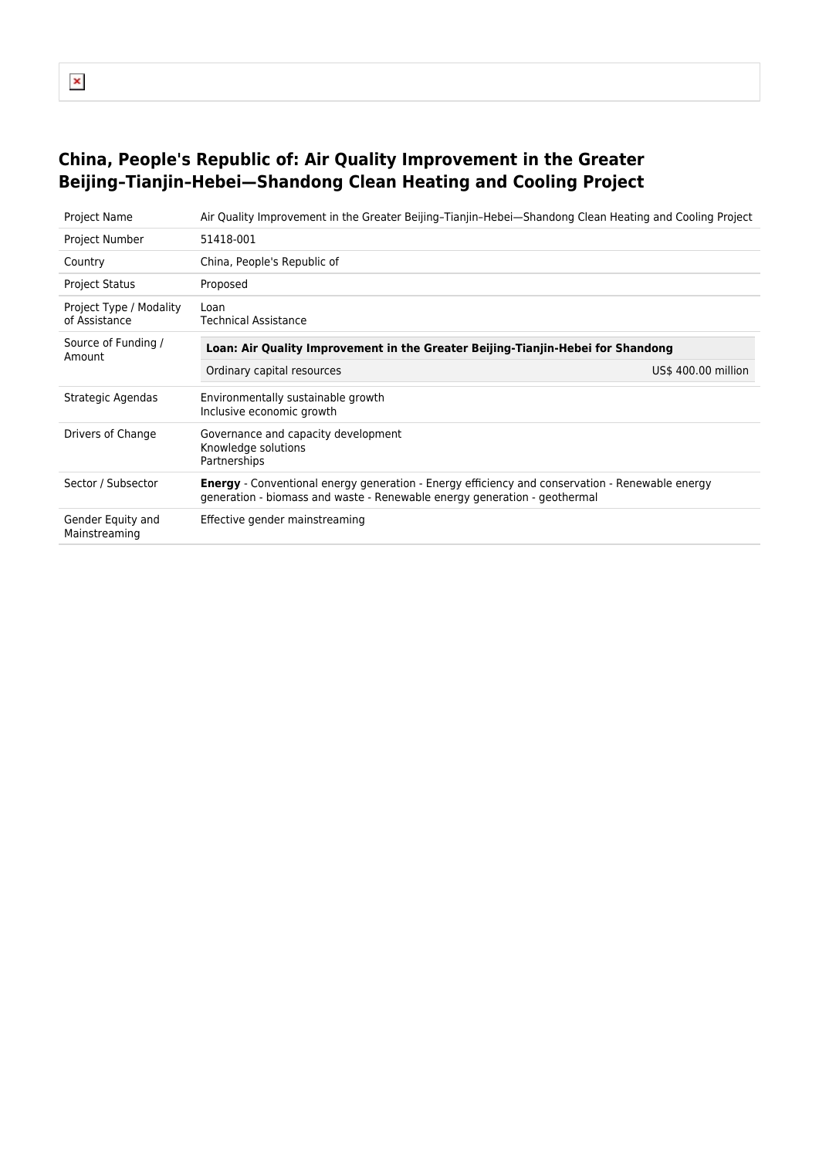# $\pmb{\mathsf{x}}$

## **China, People's Republic of: Air Quality Improvement in the Greater Beijing–Tianjin–Hebei—Shandong Clean Heating and Cooling Project**

| <b>Project Name</b>                      | Air Quality Improvement in the Greater Beijing-Tianjin-Hebei—Shandong Clean Heating and Cooling Project                                                                             |                     |
|------------------------------------------|-------------------------------------------------------------------------------------------------------------------------------------------------------------------------------------|---------------------|
| <b>Project Number</b>                    | 51418-001                                                                                                                                                                           |                     |
| Country                                  | China, People's Republic of                                                                                                                                                         |                     |
| <b>Project Status</b>                    | Proposed                                                                                                                                                                            |                     |
| Project Type / Modality<br>of Assistance | Loan<br><b>Technical Assistance</b>                                                                                                                                                 |                     |
| Source of Funding /<br>Amount            | Loan: Air Quality Improvement in the Greater Beijing-Tianjin-Hebei for Shandong                                                                                                     |                     |
|                                          | Ordinary capital resources                                                                                                                                                          | US\$ 400.00 million |
| Strategic Agendas                        | Environmentally sustainable growth<br>Inclusive economic growth                                                                                                                     |                     |
| Drivers of Change                        | Governance and capacity development<br>Knowledge solutions<br>Partnerships                                                                                                          |                     |
| Sector / Subsector                       | <b>Energy</b> - Conventional energy generation - Energy efficiency and conservation - Renewable energy<br>generation - biomass and waste - Renewable energy generation - geothermal |                     |
| Gender Equity and<br>Mainstreaming       | Effective gender mainstreaming                                                                                                                                                      |                     |
|                                          |                                                                                                                                                                                     |                     |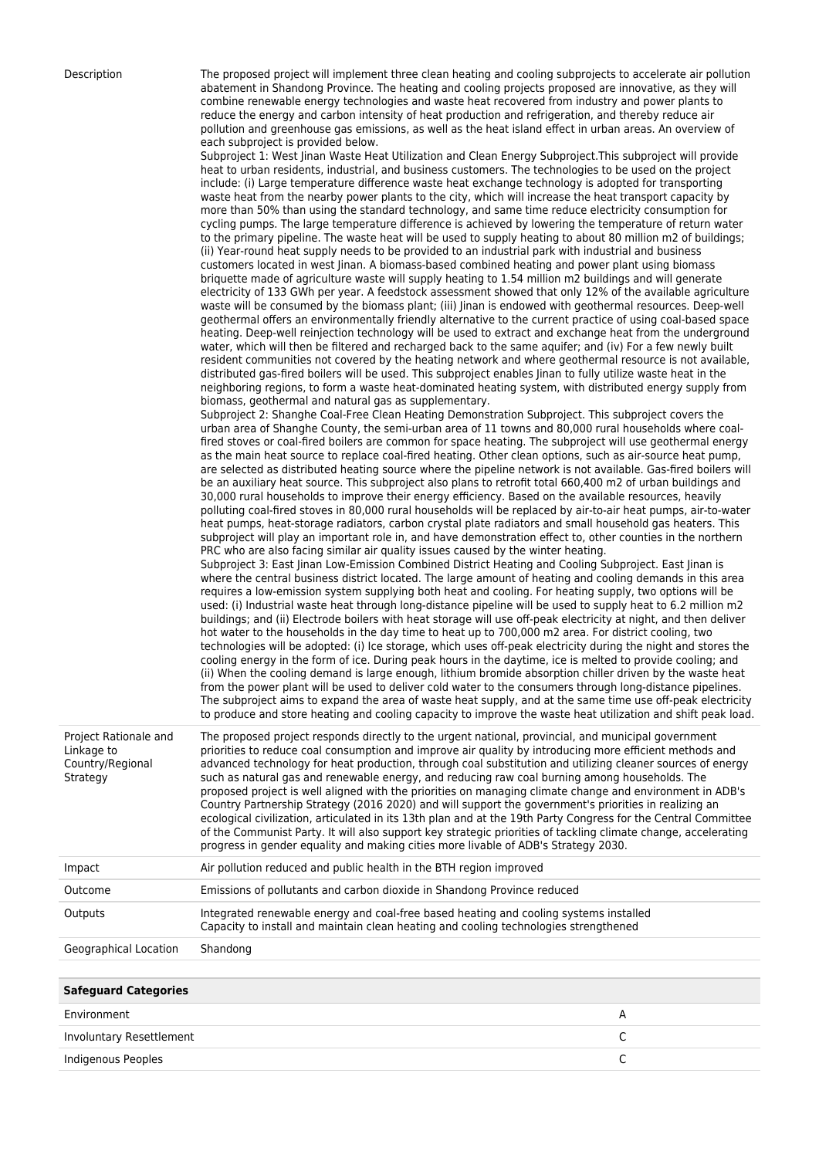Description The proposed project will implement three clean heating and cooling subprojects to accelerate air pollution abatement in Shandong Province. The heating and cooling projects proposed are innovative, as they will combine renewable energy technologies and waste heat recovered from industry and power plants to reduce the energy and carbon intensity of heat production and refrigeration, and thereby reduce air pollution and greenhouse gas emissions, as well as the heat island effect in urban areas. An overview of each subproject is provided below.

|                                                         | each subproject is provided below.<br>Subproject 1: West Jinan Waste Heat Utilization and Clean Energy Subproject. This subproject will provide<br>heat to urban residents, industrial, and business customers. The technologies to be used on the project<br>include: (i) Large temperature difference waste heat exchange technology is adopted for transporting<br>waste heat from the nearby power plants to the city, which will increase the heat transport capacity by<br>more than 50% than using the standard technology, and same time reduce electricity consumption for<br>cycling pumps. The large temperature difference is achieved by lowering the temperature of return water<br>to the primary pipeline. The waste heat will be used to supply heating to about 80 million m2 of buildings;<br>ii) Year-round heat supply needs to be provided to an industrial park with industrial and business)<br>customers located in west linan. A biomass-based combined heating and power plant using biomass<br>briquette made of agriculture waste will supply heating to 1.54 million m2 buildings and will generate<br>electricity of 133 GWh per year. A feedstock assessment showed that only 12% of the available agriculture<br>waste will be consumed by the biomass plant; (iii) Jinan is endowed with geothermal resources. Deep-well<br>geothermal offers an environmentally friendly alternative to the current practice of using coal-based space<br>heating. Deep-well reinjection technology will be used to extract and exchange heat from the underground<br>water, which will then be filtered and recharged back to the same aquifer; and (iv) For a few newly built<br>resident communities not covered by the heating network and where geothermal resource is not available,<br>distributed gas-fired boilers will be used. This subproject enables Jinan to fully utilize waste heat in the<br>neighboring regions, to form a waste heat-dominated heating system, with distributed energy supply from<br>biomass, geothermal and natural gas as supplementary.<br>Subproject 2: Shanghe Coal-Free Clean Heating Demonstration Subproject. This subproject covers the<br>urban area of Shanghe County, the semi-urban area of 11 towns and 80,000 rural households where coal-<br>fired stoves or coal-fired boilers are common for space heating. The subproject will use geothermal energy<br>as the main heat source to replace coal-fired heating. Other clean options, such as air-source heat pump,<br>are selected as distributed heating source where the pipeline network is not available. Gas-fired boilers will<br>be an auxiliary heat source. This subproject also plans to retrofit total 660,400 m2 of urban buildings and<br>30,000 rural households to improve their energy efficiency. Based on the available resources, heavily<br>polluting coal-fired stoves in 80,000 rural households will be replaced by air-to-air heat pumps, air-to-water<br>heat pumps, heat-storage radiators, carbon crystal plate radiators and small household gas heaters. This<br>subproject will play an important role in, and have demonstration effect to, other counties in the northern<br>PRC who are also facing similar air quality issues caused by the winter heating.<br>Subproject 3: East Jinan Low-Emission Combined District Heating and Cooling Subproject. East Jinan is<br>where the central business district located. The large amount of heating and cooling demands in this area<br>requires a low-emission system supplying both heat and cooling. For heating supply, two options will be<br>used: (i) Industrial waste heat through long-distance pipeline will be used to supply heat to 6.2 million m2<br>buildings; and (ii) Electrode boilers with heat storage will use off-peak electricity at night, and then deliver<br>hot water to the households in the day time to heat up to 700,000 m2 area. For district cooling, two<br>technologies will be adopted: (i) Ice storage, which uses off-peak electricity during the night and stores the<br>cooling energy in the form of ice. During peak hours in the daytime, ice is melted to provide cooling; and<br>(ii) When the cooling demand is large enough, lithium bromide absorption chiller driven by the waste heat<br>from the power plant will be used to deliver cold water to the consumers through long-distance pipelines.<br>The subproject aims to expand the area of waste heat supply, and at the same time use off-peak electricity |
|---------------------------------------------------------|-----------------------------------------------------------------------------------------------------------------------------------------------------------------------------------------------------------------------------------------------------------------------------------------------------------------------------------------------------------------------------------------------------------------------------------------------------------------------------------------------------------------------------------------------------------------------------------------------------------------------------------------------------------------------------------------------------------------------------------------------------------------------------------------------------------------------------------------------------------------------------------------------------------------------------------------------------------------------------------------------------------------------------------------------------------------------------------------------------------------------------------------------------------------------------------------------------------------------------------------------------------------------------------------------------------------------------------------------------------------------------------------------------------------------------------------------------------------------------------------------------------------------------------------------------------------------------------------------------------------------------------------------------------------------------------------------------------------------------------------------------------------------------------------------------------------------------------------------------------------------------------------------------------------------------------------------------------------------------------------------------------------------------------------------------------------------------------------------------------------------------------------------------------------------------------------------------------------------------------------------------------------------------------------------------------------------------------------------------------------------------------------------------------------------------------------------------------------------------------------------------------------------------------------------------------------------------------------------------------------------------------------------------------------------------------------------------------------------------------------------------------------------------------------------------------------------------------------------------------------------------------------------------------------------------------------------------------------------------------------------------------------------------------------------------------------------------------------------------------------------------------------------------------------------------------------------------------------------------------------------------------------------------------------------------------------------------------------------------------------------------------------------------------------------------------------------------------------------------------------------------------------------------------------------------------------------------------------------------------------------------------------------------------------------------------------------------------------------------------------------------------------------------------------------------------------------------------------------------------------------------------------------------------------------------------------------------------------------------------------------------------------------------------------------------------------------------------------------------------------------------------------------------------------------------------------------------------------------------------------------------------------------------------------------------------------------------------------------------------------------------------------------------------------------------------------------------------------------------------------------------------------------------------------------------------------------------|
| Project Rationale and<br>Linkage to<br>Country/Regional | to produce and store heating and cooling capacity to improve the waste heat utilization and shift peak load.<br>The proposed project responds directly to the urgent national, provincial, and municipal government<br>priorities to reduce coal consumption and improve air quality by introducing more efficient methods and<br>advanced technology for heat production, through coal substitution and utilizing cleaner sources of energy                                                                                                                                                                                                                                                                                                                                                                                                                                                                                                                                                                                                                                                                                                                                                                                                                                                                                                                                                                                                                                                                                                                                                                                                                                                                                                                                                                                                                                                                                                                                                                                                                                                                                                                                                                                                                                                                                                                                                                                                                                                                                                                                                                                                                                                                                                                                                                                                                                                                                                                                                                                                                                                                                                                                                                                                                                                                                                                                                                                                                                                                                                                                                                                                                                                                                                                                                                                                                                                                                                                                                                                                                                                                                                                                                                                                                                                                                                                                                                                                                                                                                                                                |
| Strategy                                                | such as natural gas and renewable energy, and reducing raw coal burning among households. The<br>proposed project is well aligned with the priorities on managing climate change and environment in ADB's<br>Country Partnership Strategy (2016 2020) and will support the government's priorities in realizing an<br>ecological civilization, articulated in its 13th plan and at the 19th Party Congress for the Central Committee<br>of the Communist Party. It will also support key strategic priorities of tackling climate change, accelerating<br>progress in gender equality and making cities more livable of ADB's Strategy 2030.                                                                                                                                                                                                                                                                                                                                                                                                                                                                                                                                                                                                                                                                                                                                                                                                                                                                                                                                                                                                                                                                                                                                                                                                                                                                                                                                                                                                                                                                                                                                                                                                                                                                                                                                                                                                                                                                                                                                                                                                                                                                                                                                                                                                                                                                                                                                                                                                                                                                                                                                                                                                                                                                                                                                                                                                                                                                                                                                                                                                                                                                                                                                                                                                                                                                                                                                                                                                                                                                                                                                                                                                                                                                                                                                                                                                                                                                                                                                |

Impact Air pollution reduced and public health in the BTH region improved

| Outcome | Emissions of pollutants and carbon dioxide in Shandong Province reduced |  |  |
|---------|-------------------------------------------------------------------------|--|--|
|---------|-------------------------------------------------------------------------|--|--|

| Geographical Location | Shandong |
|-----------------------|----------|
|-----------------------|----------|

| <b>Safeguard Categories</b> |   |
|-----------------------------|---|
| Environment                 | А |
| Involuntary Resettlement    |   |
| Indigenous Peoples          |   |